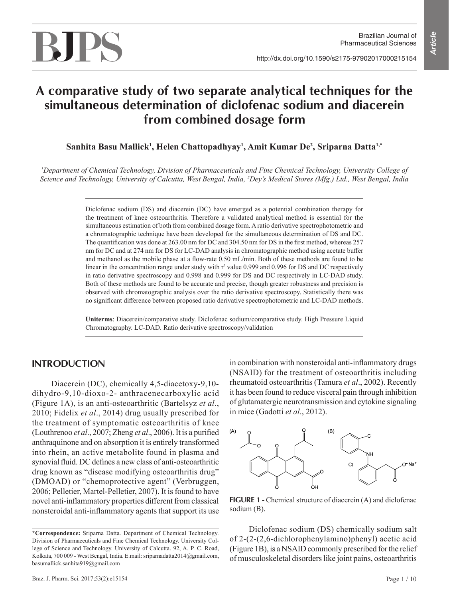# BJPS

*Article*

# **A comparative study of two separate analytical techniques for the simultaneous determination of diclofenac sodium and diacerein from combined dosage form**

 $\mathbf{S}$ anhita Basu Mallick<sup>1</sup>, Helen Chattopadhyay<sup>1</sup>, Amit Kumar De<sup>2</sup>, Sriparna Datta<sup>1,\*</sup>

*1 Department of Chemical Technology, Division of Pharmaceuticals and Fine Chemical Technology, University College of Science and Technology, University of Calcutta, West Bengal, India, 2 Dey's Medical Stores (Mfg.) Ltd., West Bengal, India*

> Diclofenac sodium (DS) and diacerein (DC) have emerged as a potential combination therapy for the treatment of knee osteoarthritis. Therefore a validated analytical method is essential for the simultaneous estimation of both from combined dosage form. A ratio derivative spectrophotometric and a chromatographic technique have been developed for the simultaneous determination of DS and DC. The quantification was done at 263.00 nm for DC and 304.50 nm for DS in the first method, whereas 257 nm for DC and at 274 nm for DS for LC-DAD analysis in chromatographic method using acetate buffer and methanol as the mobile phase at a flow-rate 0.50 mL/min. Both of these methods are found to be linear in the concentration range under study with  $r^2$  value 0.999 and 0.996 for DS and DC respectively in ratio derivative spectroscopy and 0.998 and 0.999 for DS and DC respectively in LC-DAD study. Both of these methods are found to be accurate and precise, though greater robustness and precision is observed with chromatographic analysis over the ratio derivative spectroscopy. Statistically there was no significant difference between proposed ratio derivative spectrophotometric and LC-DAD methods.

> **Uniterms**: Diacerein/comparative study. Diclofenac sodium/comparative study. High Pressure Liquid Chromatography. LC-DAD. Ratio derivative spectroscopy/validation

# **INTRODUCTION**

Diacerein (DC), chemically 4,5-diacetoxy-9,10 dihydro-9,10-dioxo-2- anthracenecarboxylic acid (Figure 1A), is an anti-osteoarthritic (Bartelsyz *et al*., 2010; Fidelix *et al*., 2014) drug usually prescribed for the treatment of symptomatic osteoarthritis of knee (Louthrenoo *et al*., 2007; Zheng *et al*., 2006). It is a purified anthraquinone and on absorption it is entirely transformed into rhein, an active metabolite found in plasma and synovial fluid. DC defines a new class of anti-osteoarthritic drug known as "disease modifying osteoarthritis drug" (DMOAD) or "chemoprotective agent" (Verbruggen, 2006; Pelletier, Martel-Pelletier, 2007). It is found to have novel anti-inflammatory properties different from classical nonsteroidal anti-inflammatory agents that support its use

in combination with nonsteroidal anti-inflammatory drugs (NSAID) for the treatment of osteoarthritis including rheumatoid osteoarthritis (Tamura *et al*., 2002). Recently it has been found to reduce visceral pain through inhibition of glutamatergic neurotransmission and cytokine signaling in mice (Gadotti *et al*., 2012).



**FIGURE 1 -** Chemical structure of diacerein (A) and diclofenac sodium (B).

Diclofenac sodium (DS) chemically sodium salt of 2-(2-(2,6-dichlorophenylamino)phenyl) acetic acid (Figure 1B), is a NSAID commonly prescribed for the relief of musculoskeletal disorders like joint pains, osteoarthritis

**<sup>\*</sup>Correspondence:** Sriparna Datta. Department of Chemical Technology. Division of Pharmaceuticals and Fine Chemical Technology. University College of Science and Technology. University of Calcutta. 92, A. P. C. Road, Kolkata, 700 009 - West Bengal, India. E.mail: sriparnadatta2014@gmail.com, basumallick.sanhita919@gmail.com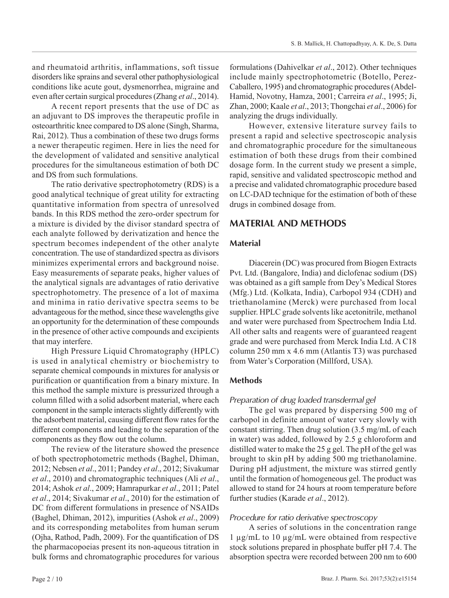and rheumatoid arthritis, inflammations, soft tissue disorders like sprains and several other pathophysiological conditions like acute gout, dysmenorrhea, migraine and even after certain surgical procedures (Zhang *et al*., 2014).

A recent report presents that the use of DC as an adjuvant to DS improves the therapeutic profile in osteoarthritic knee compared to DS alone (Singh, Sharma, Rai, 2012). Thus a combination of these two drugs forms a newer therapeutic regimen. Here in lies the need for the development of validated and sensitive analytical procedures for the simultaneous estimation of both DC and DS from such formulations.

The ratio derivative spectrophotometry (RDS) is a good analytical technique of great utility for extracting quantitative information from spectra of unresolved bands. In this RDS method the zero-order spectrum for a mixture is divided by the divisor standard spectra of each analyte followed by derivatization and hence the spectrum becomes independent of the other analyte concentration. The use of standardized spectra as divisors minimizes experimental errors and background noise. Easy measurements of separate peaks, higher values of the analytical signals are advantages of ratio derivative spectrophotometry. The presence of a lot of maxima and minima in ratio derivative spectra seems to be advantageous for the method, since these wavelengths give an opportunity for the determination of these compounds in the presence of other active compounds and excipients that may interfere.

High Pressure Liquid Chromatography (HPLC) is used in analytical chemistry or biochemistry to separate chemical compounds in mixtures for analysis or purification or quantification from a binary mixture. In this method the sample mixture is pressurized through a column filled with a solid adsorbent material, where each component in the sample interacts slightly differently with the adsorbent material, causing different flow rates for the different components and leading to the separation of the components as they flow out the column.

The review of the literature showed the presence of both spectrophotometric methods (Baghel, Dhiman, 2012; Nebsen *et al*., 2011; Pandey *et al*., 2012; Sivakumar *et al*., 2010) and chromatographic techniques (Ali *et al*., 2014; Ashok *et al*., 2009; Hamrapurkar *et al*., 2011; Patel *et al*., 2014; Sivakumar *et al*., 2010) for the estimation of DC from different formulations in presence of NSAIDs (Baghel, Dhiman, 2012), impurities (Ashok *et al*., 2009) and its corresponding metabolites from human serum (Ojha, Rathod, Padh, 2009). For the quantification of DS the pharmacopoeias present its non-aqueous titration in bulk forms and chromatographic procedures for various

formulations (Dahivelkar *et al*., 2012). Other techniques include mainly spectrophotometric (Botello, Perez-Caballero, 1995) and chromatographic procedures (Abdel-Hamid, Novotny, Hamza, 2001; Carreira *et al*., 1995; Ji, Zhan, 2000; Kaale *et al*., 2013; Thongchai *et al*., 2006) for analyzing the drugs individually.

However, extensive literature survey fails to present a rapid and selective spectroscopic analysis and chromatographic procedure for the simultaneous estimation of both these drugs from their combined dosage form. In the current study we present a simple, rapid, sensitive and validated spectroscopic method and a precise and validated chromatographic procedure based on LC-DAD technique for the estimation of both of these drugs in combined dosage from.

# **MATERIAL AND METHODS**

# **Material**

Diacerein (DC) was procured from Biogen Extracts Pvt. Ltd. (Bangalore, India) and diclofenac sodium (DS) was obtained as a gift sample from Dey's Medical Stores (Mfg.) Ltd. (Kolkata, India), Carbopol 934 (CDH) and triethanolamine (Merck) were purchased from local supplier. HPLC grade solvents like acetonitrile, methanol and water were purchased from Spectrochem India Ltd. All other salts and reagents were of guaranteed reagent grade and were purchased from Merck India Ltd. A C18 column 250 mm x 4.6 mm (Atlantis T3) was purchased from Water's Corporation (Millford, USA).

# **Methods**

# *Preparation of drug loaded transdermal gel*

The gel was prepared by dispersing 500 mg of carbopol in definite amount of water very slowly with constant stirring. Then drug solution (3.5 mg/mL of each in water) was added, followed by 2.5 g chloroform and distilled water to make the 25 g gel. The pH of the gel was brought to skin pH by adding 500 mg triethanolamine. During pH adjustment, the mixture was stirred gently until the formation of homogeneous gel. The product was allowed to stand for 24 hours at room temperature before further studies (Karade *et al*., 2012).

# *Procedure for ratio derivative spectroscopy*

A series of solutions in the concentration range 1 µg/mL to 10 µg/mL were obtained from respective stock solutions prepared in phosphate buffer pH 7.4. The absorption spectra were recorded between 200 nm to 600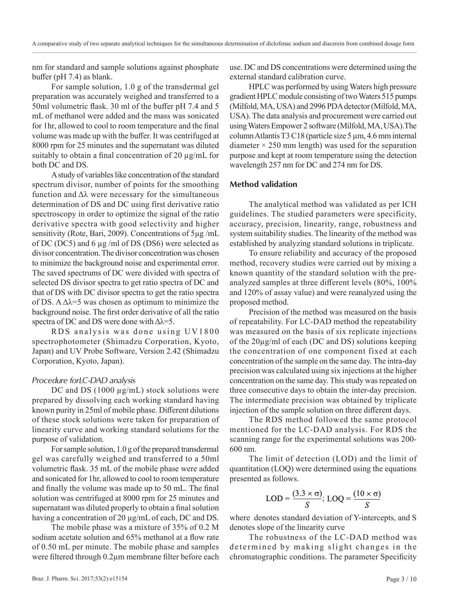nm for standard and sample solutions against phosphate buffer (pH 7.4) as blank.

For sample solution, 1.0 g of the transdermal gel preparation was accurately weighed and transferred to a 50ml volumetric flask. 30 ml of the buffer pH 7.4 and 5 mL of methanol were added and the mass was sonicated for 1hr, allowed to cool to room temperature and the final volume was made up with the buffer. It was centrifuged at 8000 rpm for 25 minutes and the supernatant was diluted suitably to obtain a final concentration of 20 µg/mL for both DC and DS.

A study of variables like concentration of the standard spectrum divisor, number of points for the smoothing function and Δλ were necessary for the simultaneous determination of DS and DC using first derivative ratio spectroscopy in order to optimize the signal of the ratio derivative spectra with good selectivity and higher sensitivity (Rote, Bari, 2009). Concentrations of 5µg /mL of DC (DC5) and 6 µg /ml of DS (DS6) were selected as divisor concentration. The divisor concentration was chosen to minimize the background noise and experimental error. The saved spectrums of DC were divided with spectra of selected DS divisor spectra to get ratio spectra of DC and that of DS with DC divisor spectra to get the ratio spectra of DS.  $A \Delta \lambda = 5$  was chosen as optimum to minimize the background noise. The first order derivative of all the ratio spectra of DC and DS were done with  $\Delta \lambda = 5$ .

RDS analysis was done using UV1800 spectrophotometer (Shimadzu Corporation, Kyoto, Japan) and UV Probe Software, Version 2.42 (Shimadzu Corporation, Kyoto, Japan).

#### *Procedure forLC-DAD analysis*

DC and DS (1000 µg/mL) stock solutions were prepared by dissolving each working standard having known purity in 25ml of mobile phase. Different dilutions of these stock solutions were taken for preparation of linearity curve and working standard solutions for the purpose of validation.

For sample solution, 1.0 g of the prepared transdermal gel was carefully weighed and transferred to a 50ml volumetric flask. 35 mL of the mobile phase were added and sonicated for 1hr, allowed to cool to room temperature and finally the volume was made up to 50 mL. The final solution was centrifuged at 8000 rpm for 25 minutes and supernatant was diluted properly to obtain a final solution having a concentration of 20  $\mu$ g/mL of each, DC and DS.

The mobile phase was a mixture of 35% of 0.2 M sodium acetate solution and 65% methanol at a flow rate of 0.50 mL per minute. The mobile phase and samples were filtered through 0.2µm membrane filter before each use. DC and DS concentrations were determined using the external standard calibration curve.

HPLC was performed by using Waters high pressure gradient HPLC module consisting of two Waters 515 pumps (Milfold, MA, USA) and 2996 PDA detector (Milfold, MA, USA). The data analysis and procurement were carried out using Waters Empower 2 software (Milfold, MA, USA).The column Atlantis T3 C18 (particle size 5 µm, 4.6 mm internal diameter  $\times$  250 mm length) was used for the separation purpose and kept at room temperature using the detection wavelength 257 nm for DC and 274 nm for DS.

#### **Method validation**

The analytical method was validated as per ICH guidelines. The studied parameters were specificity, accuracy, precision, linearity, range, robustness and system suitability studies. The linearity of the method was established by analyzing standard solutions in triplicate.

To ensure reliability and accuracy of the proposed method, recovery studies were carried out by mixing a known quantity of the standard solution with the preanalyzed samples at three different levels (80%, 100% and 120% of assay value) and were reanalyzed using the proposed method.

Precision of the method was measured on the basis of repeatability. For LC-DAD method the repeatability was measured on the basis of six replicate injections of the 20µg/ml of each (DC and DS) solutions keeping the concentration of one component fixed at each concentration of the sample on the same day. The intra-day precision was calculated using six injections at the higher concentration on the same day. This study was repeated on three consecutive days to obtain the inter-day precision. The intermediate precision was obtained by triplicate injection of the sample solution on three different days.

The RDS method followed the same protocol mentioned for the LC-DAD analysis. For RDS the scanning range for the experimental solutions was 200- 600 nm.

The limit of detection (LOD) and the limit of quantitation (LOQ) were determined using the equations presented as follows.

$$
LOD = \frac{(3.3 \times \sigma)}{S}; \text{LOQ} = \frac{(10 \times \sigma)}{S}
$$

where denotes standard deviation of Y-intercepts, and S denotes slope of the linearity curve

The robustness of the LC-DAD method was determined by making slight changes in the chromatographic conditions. The parameter Specificity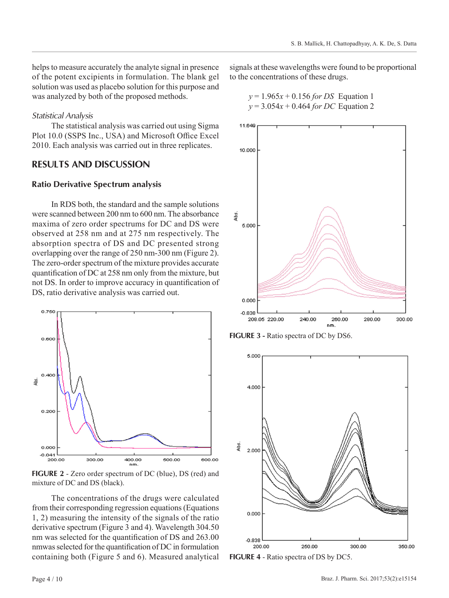helps to measure accurately the analyte signal in presence of the potent excipients in formulation. The blank gel solution was used as placebo solution for this purpose and was analyzed by both of the proposed methods.

#### *Statistical Analysis*

The statistical analysis was carried out using Sigma Plot 10.0 (SSPS Inc., USA) and Microsoft Office Excel 2010. Each analysis was carried out in three replicates.

# **RESULTS AND DISCUSSION**

#### **Ratio Derivative Spectrum analysis**

In RDS both, the standard and the sample solutions were scanned between 200 nm to 600 nm. The absorbance maxima of zero order spectrums for DC and DS were observed at 258 nm and at 275 nm respectively. The absorption spectra of DS and DC presented strong overlapping over the range of 250 nm-300 nm (Figure 2). The zero-order spectrum of the mixture provides accurate quantification of DC at 258 nm only from the mixture, but not DS. In order to improve accuracy in quantification of DS, ratio derivative analysis was carried out.



**FIGURE 2** - Zero order spectrum of DC (blue), DS (red) and mixture of DC and DS (black).

The concentrations of the drugs were calculated from their corresponding regression equations (Equations 1, 2) measuring the intensity of the signals of the ratio derivative spectrum (Figure 3 and 4). Wavelength 304.50 nm was selected for the quantification of DS and 263.00 nmwas selected for the quantification of DC in formulation containing both (Figure 5 and 6). Measured analytical signals at these wavelengths were found to be proportional to the concentrations of these drugs.

$$
y = 1.965x + 0.156
$$
 for DS Equation 1  
 $y = 3.054x + 0.464$  for DC Equation 2



**FIGURE 3 -** Ratio spectra of DC by DS6.



**FIGURE 4** - Ratio spectra of DS by DC5.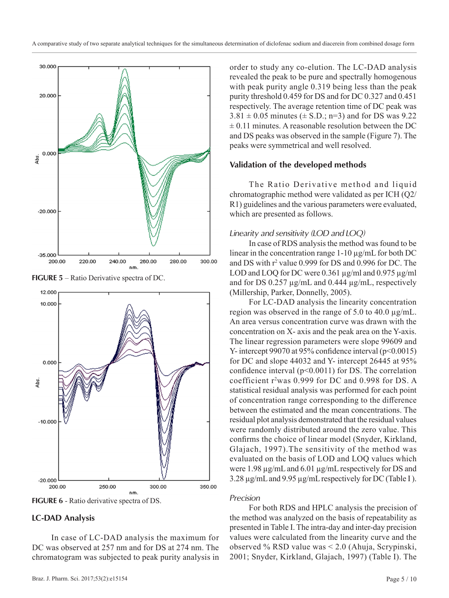





**FIGURE 6** - Ratio derivative spectra of DS.

#### **LC-DAD Analysis**

In case of LC-DAD analysis the maximum for DC was observed at 257 nm and for DS at 274 nm. The chromatogram was subjected to peak purity analysis in order to study any co-elution. The LC-DAD analysis revealed the peak to be pure and spectrally homogenous with peak purity angle 0.319 being less than the peak purity threshold 0.459 for DS and for DC 0.327 and 0.451 respectively. The average retention time of DC peak was  $3.81 \pm 0.05$  minutes ( $\pm$  S.D.; n=3) and for DS was 9.22  $\pm$  0.11 minutes. A reasonable resolution between the DC and DS peaks was observed in the sample (Figure 7). The peaks were symmetrical and well resolved.

#### **Validation of the developed methods**

The Ratio Derivative method and liquid chromatographic method were validated as per ICH (Q2/ R1) guidelines and the various parameters were evaluated, which are presented as follows.

#### *Linearity and sensitivity (LOD and LOQ)*

In case of RDS analysis the method was found to be linear in the concentration range 1-10 µg/mL for both DC and DS with  $r^2$  value 0.999 for DS and 0.996 for DC. The LOD and LOQ for DC were 0.361 µg/ml and 0.975 µg/ml and for DS 0.257 µg/mL and 0.444 µg/mL, respectively (Millership, Parker, Donnelly, 2005).

For LC-DAD analysis the linearity concentration region was observed in the range of 5.0 to 40.0 µg/mL. An area versus concentration curve was drawn with the concentration on X- axis and the peak area on the Y-axis. The linear regression parameters were slope 99609 and Y- intercept 99070 at 95% confidence interval (p<0.0015) for DC and slope 44032 and Y- intercept 26445 at 95% confidence interval  $(p<0.0011)$  for DS. The correlation coefficient  $r^2$ was 0.999 for DC and 0.998 for DS. A statistical residual analysis was performed for each point of concentration range corresponding to the difference between the estimated and the mean concentrations. The residual plot analysis demonstrated that the residual values were randomly distributed around the zero value. This confirms the choice of linear model (Snyder, Kirkland, Glajach, 1997).The sensitivity of the method was evaluated on the basis of LOD and LOQ values which were 1.98 µg/mL and 6.01 µg/mL respectively for DS and 3.28 µg/mL and 9.95 µg/mL respectively for DC (Table I ).

#### *Precision*

For both RDS and HPLC analysis the precision of the method was analyzed on the basis of repeatability as presented in Table I. The intra-day and inter-day precision values were calculated from the linearity curve and the observed % RSD value was < 2.0 (Ahuja, Scrypinski, 2001; Snyder, Kirkland, Glajach, 1997) (Table I). The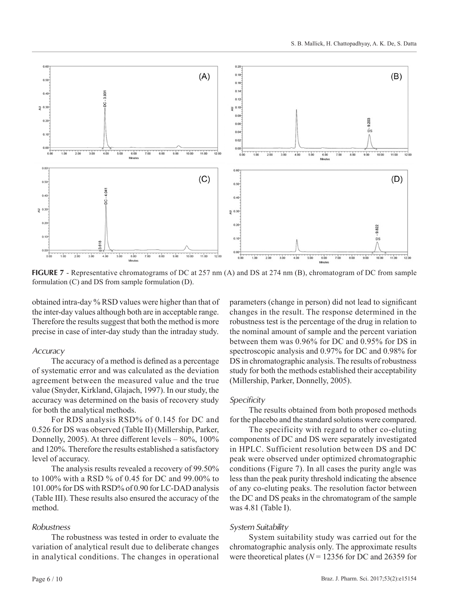

**FIGURE 7** - Representative chromatograms of DC at 257 nm (A) and DS at 274 nm (B), chromatogram of DC from sample formulation (C) and DS from sample formulation (D).

obtained intra-day % RSD values were higher than that of the inter-day values although both are in acceptable range. Therefore the results suggest that both the method is more precise in case of inter-day study than the intraday study.

#### *Accuracy*

The accuracy of a method is defined as a percentage of systematic error and was calculated as the deviation agreement between the measured value and the true value (Snyder, Kirkland, Glajach, 1997). In our study, the accuracy was determined on the basis of recovery study for both the analytical methods.

For RDS analysis RSD% of 0.145 for DC and 0.526 for DS was observed (Table II) (Millership, Parker, Donnelly, 2005). At three different levels – 80%, 100% and 120%. Therefore the results established a satisfactory level of accuracy.

The analysis results revealed a recovery of 99.50% to 100% with a RSD % of 0.45 for DC and 99.00% to 101.00% for DS with RSD% of 0.90 for LC-DAD analysis (Table III). These results also ensured the accuracy of the method.

#### *Robustness*

The robustness was tested in order to evaluate the variation of analytical result due to deliberate changes in analytical conditions. The changes in operational

parameters (change in person) did not lead to significant changes in the result. The response determined in the robustness test is the percentage of the drug in relation to the nominal amount of sample and the percent variation between them was 0.96% for DC and 0.95% for DS in spectroscopic analysis and 0.97% for DC and 0.98% for DS in chromatographic analysis. The results of robustness study for both the methods established their acceptability (Millership, Parker, Donnelly, 2005).

#### *Specificity*

The results obtained from both proposed methods for the placebo and the standard solutions were compared.

The specificity with regard to other co-eluting components of DC and DS were separately investigated in HPLC. Sufficient resolution between DS and DC peak were observed under optimized chromatographic conditions (Figure 7). In all cases the purity angle was less than the peak purity threshold indicating the absence of any co-eluting peaks. The resolution factor between the DC and DS peaks in the chromatogram of the sample was 4.81 (Table I).

#### *System Suitability*

System suitability study was carried out for the chromatographic analysis only. The approximate results were theoretical plates (*N* = 12356 for DC and 26359 for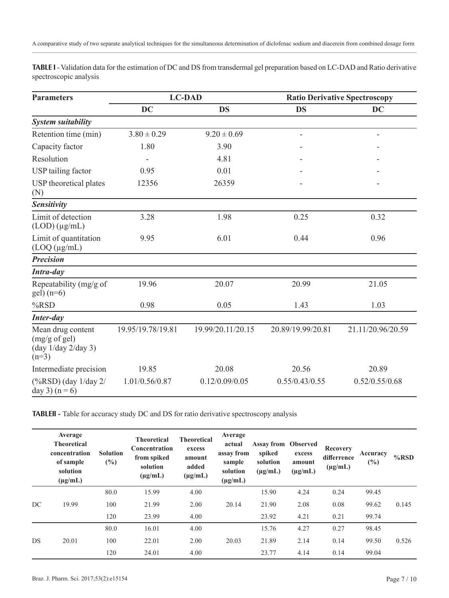| <b>TABLE I</b> - Validation data for the estimation of DC and DS from transdermal gel preparation based on LC-DAD and Ratio derivative |  |
|----------------------------------------------------------------------------------------------------------------------------------------|--|
| spectroscopic analysis                                                                                                                 |  |

| <b>Parameters</b>                                                                              |                   | <b>LC-DAD</b>     | <b>Ratio Derivative Spectroscopy</b> |                          |  |  |
|------------------------------------------------------------------------------------------------|-------------------|-------------------|--------------------------------------|--------------------------|--|--|
|                                                                                                | <b>DC</b>         | <b>DS</b>         | <b>DS</b>                            | <b>DC</b>                |  |  |
| <b>System suitability</b>                                                                      |                   |                   |                                      |                          |  |  |
| Retention time (min)                                                                           | $3.80 \pm 0.29$   | $9.20 \pm 0.69$   | ÷,                                   | $\overline{\phantom{0}}$ |  |  |
| Capacity factor                                                                                | 1.80              | 3.90              |                                      |                          |  |  |
| Resolution                                                                                     |                   | 4.81              |                                      |                          |  |  |
| USP tailing factor                                                                             | 0.95              | 0.01              |                                      |                          |  |  |
| USP theoretical plates<br>(N)                                                                  | 12356             | 26359             |                                      |                          |  |  |
| <b>Sensitivity</b>                                                                             |                   |                   |                                      |                          |  |  |
| Limit of detection<br>3.28<br>$(LOD)$ ( $\mu$ g/mL)                                            |                   | 1.98              | 0.25                                 | 0.32                     |  |  |
| Limit of quantitation<br>9.95<br>$(LOQ (\mu g/mL)$                                             |                   | 6.01              | 0.44                                 | 0.96                     |  |  |
| <b>Precision</b>                                                                               |                   |                   |                                      |                          |  |  |
| <b>Intra-day</b>                                                                               |                   |                   |                                      |                          |  |  |
| Repeatability (mg/g of<br>$gel($ n=6)                                                          | 19.96             | 20.07             | 20.99                                | 21.05                    |  |  |
| $%$ RSD                                                                                        | 0.98              | 0.05              | 1.43                                 | 1.03                     |  |  |
| <b>Inter-day</b>                                                                               |                   |                   |                                      |                          |  |  |
| Mean drug content<br>(mg/g of gel)<br>$(\text{day } 1/\text{day } 2/\text{day } 3)$<br>$(n=3)$ | 19.95/19.78/19.81 | 19.99/20.11/20.15 | 20.89/19.99/20.81                    | 21.11/20.96/20.59        |  |  |
| Intermediate precision                                                                         | 19.85             | 20.08             | 20.56                                | 20.89                    |  |  |
| $(\% RSD)$ (day $1$ /day $2/$<br>day 3) $(n = 6)$                                              | 1.01/0.56/0.87    | 0.12/0.09/0.05    | 0.55/0.43/0.55                       | 0.52/0.55/0.68           |  |  |

**TABLEII -** Table for accuracy study DC and DS for ratio derivative spectroscopy analysis

|    | Average<br><b>Theoretical</b><br>concentration<br>of sample<br>solution<br>$(\mu g/mL)$ | <b>Solution</b><br>$(\%)$ | <b>Theoretical</b><br><b>Concentration</b><br>from spiked<br>solution<br>$(\mu g/mL)$ | <b>Theoretical</b><br>excess<br>amount<br>added<br>$(\mu g/mL)$ | Average<br>actual<br>assay from<br>sample<br>solution<br>$(\mu g/mL)$ | <b>Assay from Observed</b><br>spiked<br>solution<br>$(\mu g/mL)$ | excess<br>amount<br>$(\mu g/mL)$ | <b>Recovery</b><br>differrence<br>$(\mu g/mL)$ | Accuracy<br>$(\%)$ | $%$ RSD |
|----|-----------------------------------------------------------------------------------------|---------------------------|---------------------------------------------------------------------------------------|-----------------------------------------------------------------|-----------------------------------------------------------------------|------------------------------------------------------------------|----------------------------------|------------------------------------------------|--------------------|---------|
|    |                                                                                         | 80.0                      | 15.99                                                                                 | 4.00                                                            |                                                                       | 15.90                                                            | 4.24                             | 0.24                                           | 99.45              |         |
| DC | 19.99                                                                                   | 100                       | 21.99                                                                                 | 2.00                                                            | 20.14                                                                 | 21.90                                                            | 2.08                             | 0.08                                           | 99.62              | 0.145   |
|    |                                                                                         | 120                       | 23.99                                                                                 | 4.00                                                            |                                                                       |                                                                  | 23.92                            | 4.21                                           | 0.21               | 99.74   |
| DS | 20.01                                                                                   | 80.0                      | 16.01                                                                                 | 4.00                                                            | 20.03                                                                 | 15.76                                                            | 4.27                             | 0.27                                           | 98.45              | 0.526   |
|    |                                                                                         | 100                       | 22.01                                                                                 | 2.00                                                            |                                                                       | 21.89                                                            | 2.14                             | 0.14                                           | 99.50              |         |
|    |                                                                                         | 120                       | 24.01                                                                                 | 4.00                                                            |                                                                       | 23.77                                                            | 4.14                             | 0.14                                           | 99.04              |         |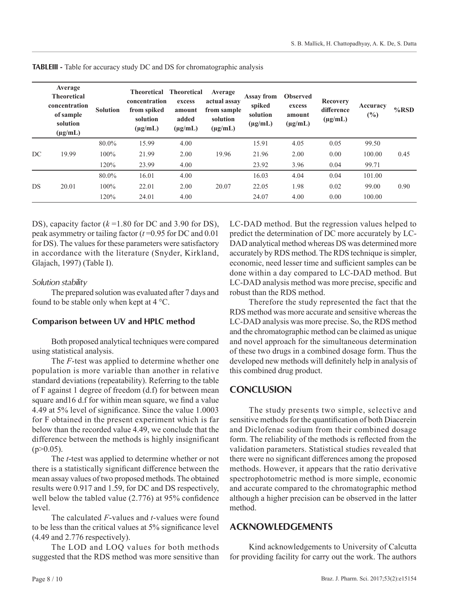|    | Average<br><b>Theoretical</b><br>concentration<br>of sample<br>solution<br>$(\mu g/mL)$ | <b>Solution</b> | <b>Theoretical Theoretical</b><br>concentration<br>from spiked<br>solution<br>$(\mu g/mL)$ | excess<br>amount<br>added<br>$(\mu g/mL)$ | Average<br>actual assay<br>from sample<br>solution<br>$(\mu g/mL)$ | Assay from<br>spiked<br>solution<br>$(\mu g/mL)$ | <b>Observed</b><br>excess<br>amount<br>$(\mu g/mL)$ | Recovery<br>difference<br>$(\mu g/mL)$ | Accuracy<br>$(\%)$ | $%$ RSD |
|----|-----------------------------------------------------------------------------------------|-----------------|--------------------------------------------------------------------------------------------|-------------------------------------------|--------------------------------------------------------------------|--------------------------------------------------|-----------------------------------------------------|----------------------------------------|--------------------|---------|
| DC | 19.99                                                                                   | 80.0%           | 15.99                                                                                      | 4.00                                      | 19.96                                                              | 15.91                                            | 4.05                                                | 0.05                                   | 99.50              | 0.45    |
|    |                                                                                         | 100%            | 21.99                                                                                      | 2.00                                      |                                                                    | 21.96                                            | 2.00                                                | 0.00                                   | 100.00             |         |
|    |                                                                                         | 120%            | 23.99                                                                                      | 4.00                                      |                                                                    | 23.92                                            | 3.96                                                | 0.04                                   | 99.71              |         |
| DS | 20.01                                                                                   | 80.0%           | 16.01                                                                                      | 4.00                                      | 20.07                                                              | 16.03                                            | 4.04                                                | 0.04                                   | 101.00             | 0.90    |
|    |                                                                                         | 100%            | 22.01                                                                                      | 2.00                                      |                                                                    | 22.05                                            | 1.98                                                | 0.02                                   | 99.00              |         |
|    |                                                                                         | 120%            | 24.01                                                                                      | 4.00                                      |                                                                    | 24.07                                            | 4.00                                                | 0.00                                   | 100.00             |         |

**TABLEIII** - Table for accuracy study DC and DS for chromatographic analysis

DS), capacity factor (*k* =1.80 for DC and 3.90 for DS), peak asymmetry or tailing factor (*t* =0.95 for DC and 0.01 for DS). The values for these parameters were satisfactory in accordance with the literature (Snyder, Kirkland, Glajach, 1997) (Table I).

### *Solution stability*

The prepared solution was evaluated after 7 days and found to be stable only when kept at 4 °C.

# **Comparison between UV and HPLC method**

Both proposed analytical techniques were compared using statistical analysis.

The *F*-test was applied to determine whether one population is more variable than another in relative standard deviations (repeatability). Referring to the table of F against 1 degree of freedom (d.f) for between mean square and16 d.f for within mean square, we find a value 4.49 at 5% level of significance. Since the value 1.0003 for F obtained in the present experiment which is far below than the recorded value 4.49, we conclude that the difference between the methods is highly insignificant  $(p>0.05)$ .

The *t*-test was applied to determine whether or not there is a statistically significant difference between the mean assay values of two proposed methods. The obtained results were 0.917 and 1.59, for DC and DS respectively, well below the tabled value (2.776) at 95% confidence level.

The calculated *F*-values and *t*-values were found to be less than the critical values at 5% significance level (4.49 and 2.776 respectively).

The LOD and LOQ values for both methods suggested that the RDS method was more sensitive than LC-DAD method. But the regression values helped to predict the determination of DC more accurately by LC-DAD analytical method whereas DS was determined more accurately by RDS method. The RDS technique is simpler, economic, need lesser time and sufficient samples can be done within a day compared to LC-DAD method. But LC-DAD analysis method was more precise, specific and robust than the RDS method.

Therefore the study represented the fact that the RDS method was more accurate and sensitive whereas the LC-DAD analysis was more precise. So, the RDS method and the chromatographic method can be claimed as unique and novel approach for the simultaneous determination of these two drugs in a combined dosage form. Thus the developed new methods will definitely help in analysis of this combined drug product.

# **CONCLUSION**

The study presents two simple, selective and sensitive methods for the quantification of both Diacerein and Diclofenac sodium from their combined dosage form. The reliability of the methods is reflected from the validation parameters. Statistical studies revealed that there were no significant differences among the proposed methods. However, it appears that the ratio derivative spectrophotometric method is more simple, economic and accurate compared to the chromatographic method although a higher precision can be observed in the latter method.

# **ACKNOWLEDGEMENTS**

Kind acknowledgements to University of Calcutta for providing facility for carry out the work. The authors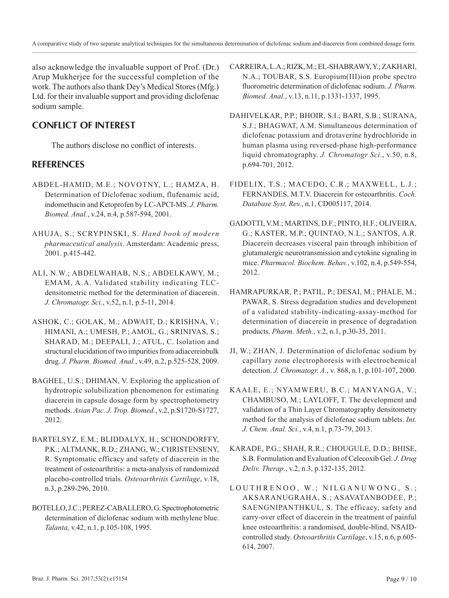also acknowledge the invaluable support of Prof. (Dr.) Arup Mukherjee for the successful completion of the work. The authors also thank Dey's Medical Stores (Mfg.) Ltd. for their invaluable support and providing diclofenac sodium sample.

# **CONFLICT OF INTEREST**

The authors disclose no conflict of interests.

# **REFERENCES**

- ABDEL-HAMID, M.E.; NOVOTNY, L.; HAMZA, H. Determination of Diclofenac sodium, flufenamic acid, indomethacin and Ketoprofen by LC-APCI-MS. *J. Pharm. Biomed. Anal.*, v.24, n.4, p.587-594, 2001.
- AHUJA, S.; SCRYPINSKI, S. *Hand book of modern pharmaceutical analysis*. Amsterdam: Academic press, 2001. p.415-442.
- ALI, N.W.; ABDELWAHAB, N.S.; ABDELKAWY, M.; EMAM, A.A. Validated stability indicating TLCdensitometric method for the determination of diacerein. *J. Chromatogr. Sci.*, v.52, n.1, p.5-11, 2014.
- ASHOK, C.; GOLAK, M.; ADWAIT, D.; KRISHNA, V.; HIMANI, A.; UMESH, P.; AMOL, G.; SRINIVAS, S.; SHARAD, M.; DEEPALI, J.; ATUL, C. Isolation and structural elucidation of two impurities from adiacereinbulk drug. *J. Pharm. Biomed. Anal.*, v.49, n.2, p.525-528, 2009.
- BAGHEL, U.S.; DHIMAN, V. Exploring the application of hydrotropic solubilization phenomenon for estimating diacerein in capsule dosage form by spectrophotometry methods. *Asian Pac. J. Trop. Biomed.*, v.2, p.S1720-S1727, 2012.
- BARTELSYZ, E.M.; BLIDDALYX, H.; SCHONDORFFY, P.K.; ALTMANK, R.D.; ZHANG, W.; CHRISTENSENY, R. Symptomatic efficacy and safety of diacerein in the treatment of osteoarthritis: a meta-analysis of randomized placebo-controlled trials. *Osteoarthritis Cartilage*, v.18, n.3, p.289-296, 2010.
- BOTELLO, J.C.; PEREZ-CABALLERO, G. Spectrophotometric determination of diclofenac sodium with methylene blue. *Talanta,* v.42, n.1, p.105-108, 1995.
- CARREIRA, L.A.; RIZK, M.; EL-SHABRAWY, Y.; ZAKHARI, N.A.; TOUBAR, S.S. Europium(III)ion probe spectro fluorometric determination of diclofenac sodium. *J. Pharm. Biomed. Anal.*, v.13, n.11, p.1331-1337, 1995.
- DAHIVELKAR, P.P.; BHOIR, S.I.; BARI, S.B.; SURANA, S.J.; BHAGWAT, A.M. Simultaneous determination of diclofenac potassium and drotaverine hydrochloride in human plasma using reversed-phase high-performance liquid chromatography. *J. Chromatogr Sci*., v.50, n.8, p.694-701, 2012.
- FIDELIX, T.S.; MACEDO, C.R.; MAXWELL, L.J.; FERNANDES, M.T.V. Diacerein for osteoarthritis. *Coch. Database Syst. Rev.*, n.1, CD005117, 2014.
- GADOTTI, V.M.; MARTINS, D.F.; PINTO, H.F.; OLIVEIRA, G.; KASTER, M.P.; QUINTAO, N.L.; SANTOS, A.R. Diacerein decreases visceral pain through inhibition of glutamatergic neurotransmission and cytokine signaling in mice. *Pharmacol. Biochem. Behav.*, v.102, n.4, p.549-554, 2012.
- HAMRAPURKAR, P.; PATIL, P.; DESAI, M.; PHALE, M.; PAWAR, S. Stress degradation studies and development of a validated stability-indicating-assay-method for determination of diacerein in presence of degradation products. *Pharm. Meth.*, v.2, n.1, p.30-35, 2011.
- JI, W.; ZHAN, J. Determination of diclofenac sodium by capillary zone electrophoresis with electrochemical detection. *J. Chromatogr. A.*, v. 868, n.1, p.101-107, 2000.
- KAALE, E.; NYAMWERU, B.C.; MANYANGA, V.; CHAMBUSO, M.; LAYLOFF, T. The development and validation of a Thin Layer Chromatography densitometry method for the analysis of diclofenac sodium tablets. *Int. J. Chem. Anal. Sci.*, v.4, n.1, p.73-79, 2013.
- KARADE, P.G.; SHAH, R.R.; CHOUGULE, D.D.; BHISE, S.B. Formulation and Evaluation of Celecoxib Gel. *J. Drug Deliv. Therap.*, v.2, n.3, p.132-135, 2012.
- LOUTHRENOO, W.; NILGANUWONG, S.; AKSARANUGRAHA, S.; ASAVATANBODEE, P.; SAENGNIPANTHKUL, S. The efficacy, safety and carry-over effect of diacerein in the treatment of painful knee osteoarthritis: a randomised, double-blind, NSAIDcontrolled study. *Osteoarthritis Cartilage*, v.15, n.6, p.605- 614, 2007.